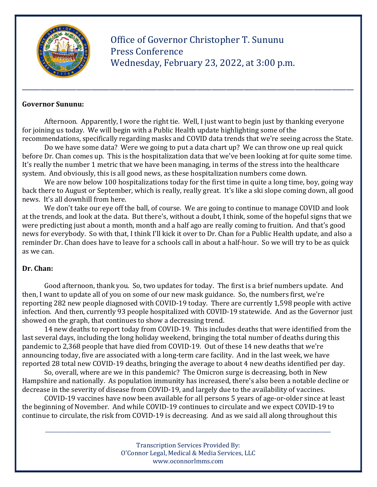

 Office of Governor Christopher T. Sununu Press Conference Wednesday, February 23, 2022, at 3:00 p.m.

#### Governor Sununu:

Afternoon. Apparently, I wore the right tie. Well, I just want to begin just by thanking everyone for joining us today. We will begin with a Public Health update highlighting some of the recommendations, specifically regarding masks and COVID data trends that we're seeing across the State.

\_\_\_\_\_\_\_\_\_\_\_\_\_\_\_\_\_\_\_\_\_\_\_\_\_\_\_\_\_\_\_\_\_\_\_\_\_\_\_\_\_\_\_\_\_\_\_\_\_\_\_\_\_\_\_\_\_\_\_\_\_\_\_\_\_\_\_\_\_\_\_\_\_\_\_\_\_\_\_\_\_\_\_\_\_\_\_\_\_\_\_

 Do we have some data? Were we going to put a data chart up? We can throw one up real quick before Dr. Chan comes up. This is the hospitalization data that we've been looking at for quite some time. It's really the number 1 metric that we have been managing, in terms of the stress into the healthcare system. And obviously, this is all good news, as these hospitalization numbers come down.

 We are now below 100 hospitalizations today for the first time in quite a long time, boy, going way back there to August or September, which is really, really great. It's like a ski slope coming down, all good news. It's all downhill from here.

 We don't take our eye off the ball, of course. We are going to continue to manage COVID and look at the trends, and look at the data. But there's, without a doubt, I think, some of the hopeful signs that we were predicting just about a month, month and a half ago are really coming to fruition. And that's good news for everybody. So with that, I think I'll kick it over to Dr. Chan for a Public Health update, and also a reminder Dr. Chan does have to leave for a schools call in about a half-hour. So we will try to be as quick as we can.

### Dr. Chan:

 Good afternoon, thank you. So, two updates for today. The first is a brief numbers update. And then, I want to update all of you on some of our new mask guidance. So, the numbers first, we're reporting 282 new people diagnosed with COVID-19 today. There are currently 1,598 people with active infection. And then, currently 93 people hospitalized with COVID-19 statewide. And as the Governor just showed on the graph, that continues to show a decreasing trend.

 14 new deaths to report today from COVID-19. This includes deaths that were identified from the last several days, including the long holiday weekend, bringing the total number of deaths during this pandemic to 2,368 people that have died from COVID-19. Out of these 14 new deaths that we're announcing today, five are associated with a long-term care facility. And in the last week, we have reported 28 total new COVID-19 deaths, bringing the average to about 4 new deaths identified per day.

 So, overall, where are we in this pandemic? The Omicron surge is decreasing, both in New Hampshire and nationally. As population immunity has increased, there's also been a notable decline or decrease in the severity of disease from COVID-19, and largely due to the availability of vaccines.

 COVID-19 vaccines have now been available for all persons 5 years of age-or-older since at least the beginning of November. And while COVID-19 continues to circulate and we expect COVID-19 to continue to circulate, the risk from COVID-19 is decreasing. And as we said all along throughout this

> Transcription Services Provided By: O'Connor Legal, Medical & Media Services, LLC www.oconnorlmms.com

\_\_\_\_\_\_\_\_\_\_\_\_\_\_\_\_\_\_\_\_\_\_\_\_\_\_\_\_\_\_\_\_\_\_\_\_\_\_\_\_\_\_\_\_\_\_\_\_\_\_\_\_\_\_\_\_\_\_\_\_\_\_\_\_\_\_\_\_\_\_\_\_\_\_\_\_\_\_\_\_\_\_\_\_\_\_\_\_\_\_\_\_\_\_\_\_\_\_\_\_\_\_\_\_\_\_\_\_\_\_\_\_\_\_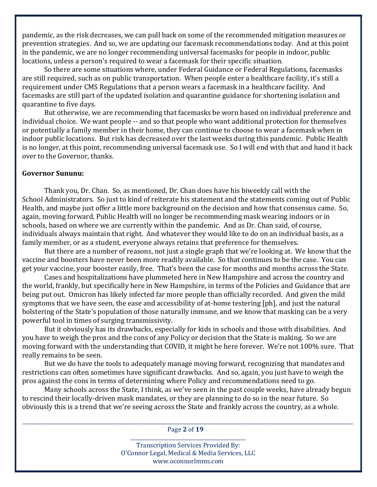pandemic, as the risk decreases, we can pull back on some of the recommended mitigation measures or prevention strategies. And so, we are updating our facemask recommendations today. And at this point in the pandemic, we are no longer recommending universal facemasks for people in indoor, public locations, unless a person's required to wear a facemask for their specific situation.

 So there are some situations where, under Federal Guidance or Federal Regulations, facemasks are still required, such as on public transportation. When people enter a healthcare facility, it's still a requirement under CMS Regulations that a person wears a facemask in a healthcare facility. And facemasks are still part of the updated isolation and quarantine guidance for shortening isolation and quarantine to five days.

 But otherwise, we are recommending that facemasks be worn based on individual preference and individual choice. We want people -- and so that people who want additional protection for themselves or potentially a family member in their home, they can continue to choose to wear a facemask when in indoor public locations. But risk has decreased over the last weeks during this pandemic. Public Health is no longer, at this point, recommending universal facemask use. So I will end with that and hand it back over to the Governor, thanks.

#### Governor Sununu:

 Thank you, Dr. Chan. So, as mentioned, Dr. Chan does have his biweekly call with the School Administrators. So just to kind of reiterate his statement and the statements coming out of Public Health, and maybe just offer a little more background on the decision and how that consensus came. So, again, moving forward, Public Health will no longer be recommending mask wearing indoors or in schools, based on where we are currently within the pandemic. And as Dr. Chan said, of course, individuals always maintain that right. And whatever they would like to do on an individual basis, as a family member, or as a student, everyone always retains that preference for themselves.

 But there are a number of reasons, not just a single graph that we're looking at. We know that the vaccine and boosters have never been more readily available. So that continues to be the case. You can get your vaccine, your booster easily, free. That's been the case for months and months across the State.

 Cases and hospitalizations have plummeted here in New Hampshire and across the country and the world, frankly, but specifically here in New Hampshire, in terms of the Policies and Guidance that are being put out. Omicron has likely infected far more people than officially recorded. And given the mild symptoms that we have seen, the ease and accessibility of at-home testering [ph], and just the natural bolstering of the State's population of those naturally immune, and we know that masking can be a very powerful tool in times of surging transmissivity.

 But it obviously has its drawbacks, especially for kids in schools and those with disabilities. And you have to weigh the pros and the cons of any Policy or decision that the State is making. So we are moving forward with the understanding that COVID, it might be here forever. We're not 100% sure. That really remains to be seen.

 But we do have the tools to adequately manage moving forward, recognizing that mandates and restrictions can often sometimes have significant drawbacks. And so, again, you just have to weigh the pros against the cons in terms of determining where Policy and recommendations need to go.

 Many schools across the State, I think, as we've seen in the past couple weeks, have already begun to rescind their locally-driven mask mandates, or they are planning to do so in the near future. So obviously this is a trend that we're seeing across the State and frankly across the country, as a whole.

\_\_\_\_\_\_\_\_\_\_\_\_\_\_\_\_\_\_\_\_\_\_\_\_\_\_\_\_\_\_\_\_\_\_\_\_\_\_\_\_\_\_\_\_\_\_\_\_\_\_\_\_\_\_\_\_\_\_\_\_\_\_\_\_\_\_\_\_\_\_\_\_\_\_\_\_\_\_\_\_\_\_\_\_\_\_\_\_\_\_\_\_\_\_\_\_\_\_\_\_\_\_\_\_\_\_\_\_\_\_\_\_\_\_\_\_\_\_\_\_\_\_\_\_\_\_\_\_\_\_\_\_ Page 2 of 19 \_\_\_\_\_\_\_\_\_\_\_\_\_\_\_\_\_\_\_\_\_\_\_\_\_\_\_\_\_\_\_\_\_\_\_\_\_\_\_\_\_\_\_\_\_\_

> Transcription Services Provided By: O'Connor Legal, Medical & Media Services, LLC www.oconnorlmms.com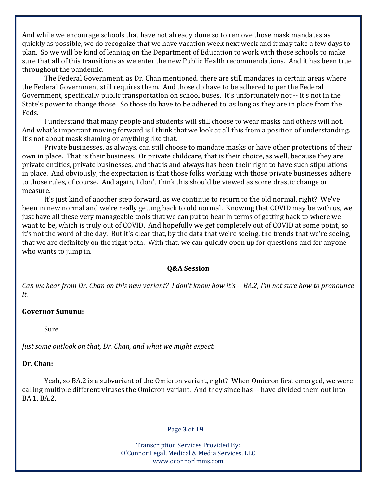And while we encourage schools that have not already done so to remove those mask mandates as quickly as possible, we do recognize that we have vacation week next week and it may take a few days to plan. So we will be kind of leaning on the Department of Education to work with those schools to make sure that all of this transitions as we enter the new Public Health recommendations. And it has been true throughout the pandemic.

 The Federal Government, as Dr. Chan mentioned, there are still mandates in certain areas where the Federal Government still requires them. And those do have to be adhered to per the Federal Government, specifically public transportation on school buses. It's unfortunately not -- it's not in the State's power to change those. So those do have to be adhered to, as long as they are in place from the Feds.

 I understand that many people and students will still choose to wear masks and others will not. And what's important moving forward is I think that we look at all this from a position of understanding. It's not about mask shaming or anything like that.

 Private businesses, as always, can still choose to mandate masks or have other protections of their own in place. That is their business. Or private childcare, that is their choice, as well, because they are private entities, private businesses, and that is and always has been their right to have such stipulations in place. And obviously, the expectation is that those folks working with those private businesses adhere to those rules, of course. And again, I don't think this should be viewed as some drastic change or measure.

 It's just kind of another step forward, as we continue to return to the old normal, right? We've been in new normal and we're really getting back to old normal. Knowing that COVID may be with us, we just have all these very manageable tools that we can put to bear in terms of getting back to where we want to be, which is truly out of COVID. And hopefully we get completely out of COVID at some point, so it's not the word of the day. But it's clear that, by the data that we're seeing, the trends that we're seeing, that we are definitely on the right path. With that, we can quickly open up for questions and for anyone who wants to jump in.

### Q&A Session

Can we hear from Dr. Chan on this new variant? I don't know how it's -- BA.2, I'm not sure how to pronounce it.

### Governor Sununu:

Sure.

Just some outlook on that, Dr. Chan, and what we might expect.

### Dr. Chan:

 Yeah, so BA.2 is a subvariant of the Omicron variant, right? When Omicron first emerged, we were calling multiple different viruses the Omicron variant. And they since has -- have divided them out into BA.1, BA.2.

\_\_\_\_\_\_\_\_\_\_\_\_\_\_\_\_\_\_\_\_\_\_\_\_\_\_\_\_\_\_\_\_\_\_\_\_\_\_\_\_\_\_\_\_\_\_\_\_\_\_\_\_\_\_\_\_\_\_\_\_\_\_\_\_\_\_\_\_\_\_\_\_\_\_\_\_\_\_\_\_\_\_\_\_\_\_\_\_\_\_\_\_\_\_\_\_\_\_\_\_\_\_\_\_\_\_\_\_\_\_\_\_\_\_\_\_\_\_\_\_\_\_\_\_\_\_\_\_\_\_\_\_ Page 3 of 19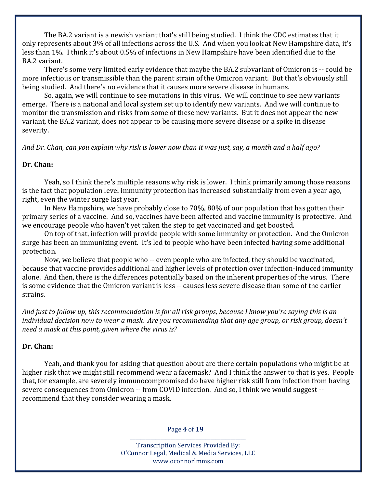The BA.2 variant is a newish variant that's still being studied. I think the CDC estimates that it only represents about 3% of all infections across the U.S. And when you look at New Hampshire data, it's less than 1%. I think it's about 0.5% of infections in New Hampshire have been identified due to the BA.2 variant.

 There's some very limited early evidence that maybe the BA.2 subvariant of Omicron is -- could be more infectious or transmissible than the parent strain of the Omicron variant. But that's obviously still being studied. And there's no evidence that it causes more severe disease in humans.

 So, again, we will continue to see mutations in this virus. We will continue to see new variants emerge. There is a national and local system set up to identify new variants. And we will continue to monitor the transmission and risks from some of these new variants. But it does not appear the new variant, the BA.2 variant, does not appear to be causing more severe disease or a spike in disease severity.

And Dr. Chan, can you explain why risk is lower now than it was just, say, a month and a half ago?

#### Dr. Chan:

 Yeah, so I think there's multiple reasons why risk is lower. I think primarily among those reasons is the fact that population level immunity protection has increased substantially from even a year ago, right, even the winter surge last year.

 In New Hampshire, we have probably close to 70%, 80% of our population that has gotten their primary series of a vaccine. And so, vaccines have been affected and vaccine immunity is protective. And we encourage people who haven't yet taken the step to get vaccinated and get boosted.

 On top of that, infection will provide people with some immunity or protection. And the Omicron surge has been an immunizing event. It's led to people who have been infected having some additional protection.

 Now, we believe that people who -- even people who are infected, they should be vaccinated, because that vaccine provides additional and higher levels of protection over infection-induced immunity alone. And then, there is the differences potentially based on the inherent properties of the virus. There is some evidence that the Omicron variant is less -- causes less severe disease than some of the earlier strains.

And just to follow up, this recommendation is for all risk groups, because I know you're saying this is an individual decision now to wear a mask. Are you recommending that any age group, or risk group, doesn't need a mask at this point, given where the virus is?

### Dr. Chan:

 Yeah, and thank you for asking that question about are there certain populations who might be at higher risk that we might still recommend wear a facemask? And I think the answer to that is yes. People that, for example, are severely immunocompromised do have higher risk still from infection from having severe consequences from Omicron -- from COVID infection. And so, I think we would suggest - recommend that they consider wearing a mask.

\_\_\_\_\_\_\_\_\_\_\_\_\_\_\_\_\_\_\_\_\_\_\_\_\_\_\_\_\_\_\_\_\_\_\_\_\_\_\_\_\_\_\_\_\_\_\_\_\_\_\_\_\_\_\_\_\_\_\_\_\_\_\_\_\_\_\_\_\_\_\_\_\_\_\_\_\_\_\_\_\_\_\_\_\_\_\_\_\_\_\_\_\_\_\_\_\_\_\_\_\_\_\_\_\_\_\_\_\_\_\_\_\_\_\_\_\_\_\_\_\_\_\_\_\_\_\_\_\_\_\_\_ Page 4 of 19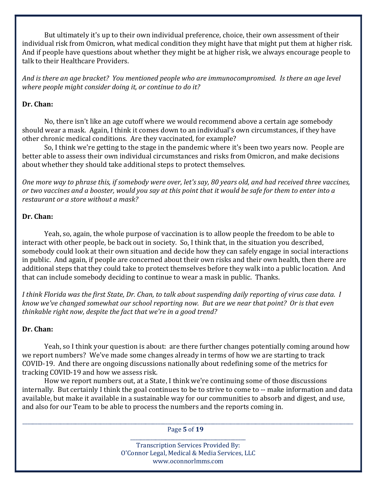But ultimately it's up to their own individual preference, choice, their own assessment of their individual risk from Omicron, what medical condition they might have that might put them at higher risk. And if people have questions about whether they might be at higher risk, we always encourage people to talk to their Healthcare Providers.

And is there an age bracket? You mentioned people who are immunocompromised. Is there an age level where people might consider doing it, or continue to do it?

### Dr. Chan:

 No, there isn't like an age cutoff where we would recommend above a certain age somebody should wear a mask. Again, I think it comes down to an individual's own circumstances, if they have other chronic medical conditions. Are they vaccinated, for example?

 So, I think we're getting to the stage in the pandemic where it's been two years now. People are better able to assess their own individual circumstances and risks from Omicron, and make decisions about whether they should take additional steps to protect themselves.

One more way to phrase this, if somebody were over, let's say, 80 years old, and had received three vaccines, or two vaccines and a booster, would you say at this point that it would be safe for them to enter into a restaurant or a store without a mask?

# Dr. Chan:

 Yeah, so, again, the whole purpose of vaccination is to allow people the freedom to be able to interact with other people, be back out in society. So, I think that, in the situation you described, somebody could look at their own situation and decide how they can safely engage in social interactions in public. And again, if people are concerned about their own risks and their own health, then there are additional steps that they could take to protect themselves before they walk into a public location. And that can include somebody deciding to continue to wear a mask in public. Thanks.

I think Florida was the first State, Dr. Chan, to talk about suspending daily reporting of virus case data. I know we've changed somewhat our school reporting now. But are we near that point? Or is that even thinkable right now, despite the fact that we're in a good trend?

# Dr. Chan:

 Yeah, so I think your question is about: are there further changes potentially coming around how we report numbers? We've made some changes already in terms of how we are starting to track COVID-19. And there are ongoing discussions nationally about redefining some of the metrics for tracking COVID-19 and how we assess risk.

 How we report numbers out, at a State, I think we're continuing some of those discussions internally. But certainly I think the goal continues to be to strive to come to -- make information and data available, but make it available in a sustainable way for our communities to absorb and digest, and use, and also for our Team to be able to process the numbers and the reports coming in.

\_\_\_\_\_\_\_\_\_\_\_\_\_\_\_\_\_\_\_\_\_\_\_\_\_\_\_\_\_\_\_\_\_\_\_\_\_\_\_\_\_\_\_\_\_\_\_\_\_\_\_\_\_\_\_\_\_\_\_\_\_\_\_\_\_\_\_\_\_\_\_\_\_\_\_\_\_\_\_\_\_\_\_\_\_\_\_\_\_\_\_\_\_\_\_\_\_\_\_\_\_\_\_\_\_\_\_\_\_\_\_\_\_\_\_\_\_\_\_\_\_\_\_\_\_\_\_\_\_\_\_\_ Page 5 of 19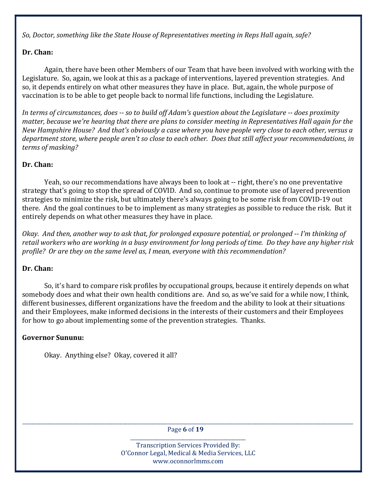So, Doctor, something like the State House of Representatives meeting in Reps Hall again, safe?

# Dr. Chan:

 Again, there have been other Members of our Team that have been involved with working with the Legislature. So, again, we look at this as a package of interventions, layered prevention strategies. And so, it depends entirely on what other measures they have in place. But, again, the whole purpose of vaccination is to be able to get people back to normal life functions, including the Legislature.

In terms of circumstances, does -- so to build off Adam's question about the Legislature -- does proximity matter, because we're hearing that there are plans to consider meeting in Representatives Hall again for the New Hampshire House? And that's obviously a case where you have people very close to each other, versus a department store, where people aren't so close to each other. Does that still affect your recommendations, in terms of masking?

# Dr. Chan:

 Yeah, so our recommendations have always been to look at -- right, there's no one preventative strategy that's going to stop the spread of COVID. And so, continue to promote use of layered prevention strategies to minimize the risk, but ultimately there's always going to be some risk from COVID-19 out there. And the goal continues to be to implement as many strategies as possible to reduce the risk. But it entirely depends on what other measures they have in place.

Okay. And then, another way to ask that, for prolonged exposure potential, or prolonged -- I'm thinking of retail workers who are working in a busy environment for long periods of time. Do they have any higher risk profile? Or are they on the same level as, I mean, everyone with this recommendation?

# Dr. Chan:

 So, it's hard to compare risk profiles by occupational groups, because it entirely depends on what somebody does and what their own health conditions are. And so, as we've said for a while now, I think, different businesses, different organizations have the freedom and the ability to look at their situations and their Employees, make informed decisions in the interests of their customers and their Employees for how to go about implementing some of the prevention strategies. Thanks.

# Governor Sununu:

Okay. Anything else? Okay, covered it all?

\_\_\_\_\_\_\_\_\_\_\_\_\_\_\_\_\_\_\_\_\_\_\_\_\_\_\_\_\_\_\_\_\_\_\_\_\_\_\_\_\_\_\_\_\_\_\_\_\_\_\_\_\_\_\_\_\_\_\_\_\_\_\_\_\_\_\_\_\_\_\_\_\_\_\_\_\_\_\_\_\_\_\_\_\_\_\_\_\_\_\_\_\_\_\_\_\_\_\_\_\_\_\_\_\_\_\_\_\_\_\_\_\_\_\_\_\_\_\_\_\_\_\_\_\_\_\_\_\_\_\_\_ Page 6 of 19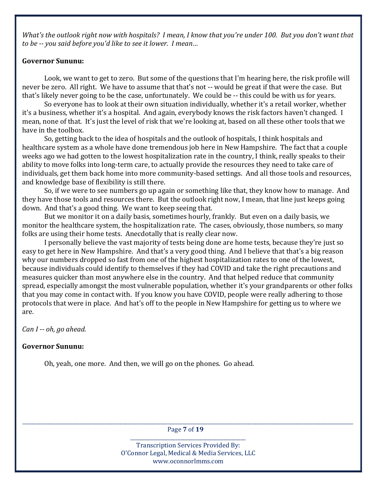What's the outlook right now with hospitals? I mean, I know that you're under 100. But you don't want that to be -- you said before you'd like to see it lower. I mean…

#### Governor Sununu:

 Look, we want to get to zero. But some of the questions that I'm hearing here, the risk profile will never be zero. All right. We have to assume that that's not -- would be great if that were the case. But that's likely never going to be the case, unfortunately. We could be -- this could be with us for years.

 So everyone has to look at their own situation individually, whether it's a retail worker, whether it's a business, whether it's a hospital. And again, everybody knows the risk factors haven't changed. I mean, none of that. It's just the level of risk that we're looking at, based on all these other tools that we have in the toolbox.

 So, getting back to the idea of hospitals and the outlook of hospitals, I think hospitals and healthcare system as a whole have done tremendous job here in New Hampshire. The fact that a couple weeks ago we had gotten to the lowest hospitalization rate in the country, I think, really speaks to their ability to move folks into long-term care, to actually provide the resources they need to take care of individuals, get them back home into more community-based settings. And all those tools and resources, and knowledge base of flexibility is still there.

 So, if we were to see numbers go up again or something like that, they know how to manage. And they have those tools and resources there. But the outlook right now, I mean, that line just keeps going down. And that's a good thing. We want to keep seeing that.

 But we monitor it on a daily basis, sometimes hourly, frankly. But even on a daily basis, we monitor the healthcare system, the hospitalization rate. The cases, obviously, those numbers, so many folks are using their home tests. Anecdotally that is really clear now.

 I personally believe the vast majority of tests being done are home tests, because they're just so easy to get here in New Hampshire. And that's a very good thing. And I believe that that's a big reason why our numbers dropped so fast from one of the highest hospitalization rates to one of the lowest, because individuals could identify to themselves if they had COVID and take the right precautions and measures quicker than most anywhere else in the country. And that helped reduce that community spread, especially amongst the most vulnerable population, whether it's your grandparents or other folks that you may come in contact with. If you know you have COVID, people were really adhering to those protocols that were in place. And hat's off to the people in New Hampshire for getting us to where we are.

Can I -- oh, go ahead.

### Governor Sununu:

Oh, yeah, one more. And then, we will go on the phones. Go ahead.

\_\_\_\_\_\_\_\_\_\_\_\_\_\_\_\_\_\_\_\_\_\_\_\_\_\_\_\_\_\_\_\_\_\_\_\_\_\_\_\_\_\_\_\_\_\_\_\_\_\_\_\_\_\_\_\_\_\_\_\_\_\_\_\_\_\_\_\_\_\_\_\_\_\_\_\_\_\_\_\_\_\_\_\_\_\_\_\_\_\_\_\_\_\_\_\_\_\_\_\_\_\_\_\_\_\_\_\_\_\_\_\_\_\_\_\_\_\_\_\_\_\_\_\_\_\_\_\_\_\_\_\_ Page 7 of 19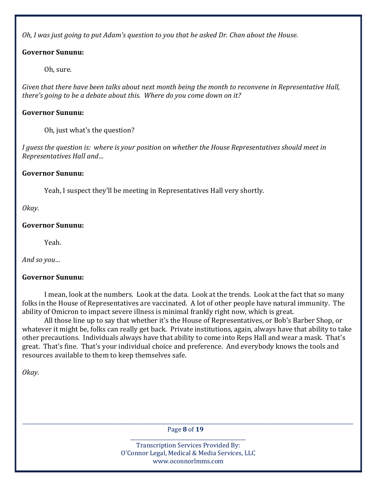Oh, I was just going to put Adam's question to you that he asked Dr. Chan about the House.

# Governor Sununu:

Oh, sure.

Given that there have been talks about next month being the month to reconvene in Representative Hall, there's going to be a debate about this. Where do you come down on it?

# Governor Sununu:

Oh, just what's the question?

I guess the question is: where is your position on whether the House Representatives should meet in Representatives Hall and…

# Governor Sununu:

Yeah, I suspect they'll be meeting in Representatives Hall very shortly.

Okay.

### Governor Sununu:

Yeah.

And so you…

# Governor Sununu:

 I mean, look at the numbers. Look at the data. Look at the trends. Look at the fact that so many folks in the House of Representatives are vaccinated. A lot of other people have natural immunity. The ability of Omicron to impact severe illness is minimal frankly right now, which is great.

 All those line up to say that whether it's the House of Representatives, or Bob's Barber Shop, or whatever it might be, folks can really get back. Private institutions, again, always have that ability to take other precautions. Individuals always have that ability to come into Reps Hall and wear a mask. That's great. That's fine. That's your individual choice and preference. And everybody knows the tools and resources available to them to keep themselves safe.

Okay.

\_\_\_\_\_\_\_\_\_\_\_\_\_\_\_\_\_\_\_\_\_\_\_\_\_\_\_\_\_\_\_\_\_\_\_\_\_\_\_\_\_\_\_\_\_\_\_\_\_\_\_\_\_\_\_\_\_\_\_\_\_\_\_\_\_\_\_\_\_\_\_\_\_\_\_\_\_\_\_\_\_\_\_\_\_\_\_\_\_\_\_\_\_\_\_\_\_\_\_\_\_\_\_\_\_\_\_\_\_\_\_\_\_\_\_\_\_\_\_\_\_\_\_\_\_\_\_\_\_\_\_\_ Page 8 of 19 \_\_\_\_\_\_\_\_\_\_\_\_\_\_\_\_\_\_\_\_\_\_\_\_\_\_\_\_\_\_\_\_\_\_\_\_\_\_\_\_\_\_\_\_\_\_

> Transcription Services Provided By: O'Connor Legal, Medical & Media Services, LLC www.oconnorlmms.com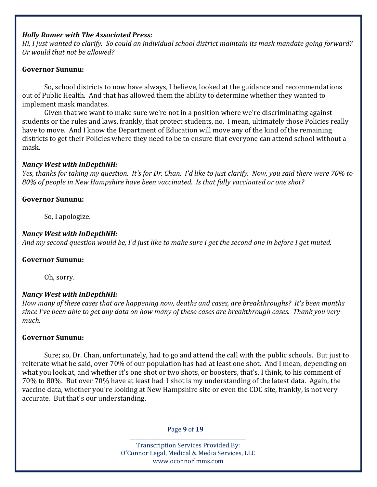#### Holly Ramer with The Associated Press:

Hi, I just wanted to clarify. So could an individual school district maintain its mask mandate going forward? Or would that not be allowed?

### Governor Sununu:

 So, school districts to now have always, I believe, looked at the guidance and recommendations out of Public Health. And that has allowed them the ability to determine whether they wanted to implement mask mandates.

 Given that we want to make sure we're not in a position where we're discriminating against students or the rules and laws, frankly, that protect students, no. I mean, ultimately those Policies really have to move. And I know the Department of Education will move any of the kind of the remaining districts to get their Policies where they need to be to ensure that everyone can attend school without a mask.

### Nancy West with InDepthNH:

Yes, thanks for taking my question. It's for Dr. Chan. I'd like to just clarify. Now, you said there were 70% to 80% of people in New Hampshire have been vaccinated. Is that fully vaccinated or one shot?

### Governor Sununu:

So, I apologize.

### Nancy West with InDepthNH:

And my second question would be, I'd just like to make sure I get the second one in before I get muted.

### Governor Sununu:

Oh, sorry.

# Nancy West with InDepthNH:

How many of these cases that are happening now, deaths and cases, are breakthroughs? It's been months since I've been able to get any data on how many of these cases are breakthrough cases. Thank you very much.

### Governor Sununu:

 Sure; so, Dr. Chan, unfortunately, had to go and attend the call with the public schools. But just to reiterate what he said, over 70% of our population has had at least one shot. And I mean, depending on what you look at, and whether it's one shot or two shots, or boosters, that's, I think, to his comment of 70% to 80%. But over 70% have at least had 1 shot is my understanding of the latest data. Again, the vaccine data, whether you're looking at New Hampshire site or even the CDC site, frankly, is not very accurate. But that's our understanding.

\_\_\_\_\_\_\_\_\_\_\_\_\_\_\_\_\_\_\_\_\_\_\_\_\_\_\_\_\_\_\_\_\_\_\_\_\_\_\_\_\_\_\_\_\_\_\_\_\_\_\_\_\_\_\_\_\_\_\_\_\_\_\_\_\_\_\_\_\_\_\_\_\_\_\_\_\_\_\_\_\_\_\_\_\_\_\_\_\_\_\_\_\_\_\_\_\_\_\_\_\_\_\_\_\_\_\_\_\_\_\_\_\_\_\_\_\_\_\_\_\_\_\_\_\_\_\_\_\_\_\_\_ Page 9 of 19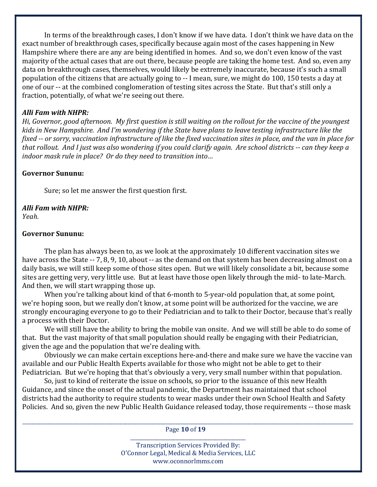In terms of the breakthrough cases, I don't know if we have data. I don't think we have data on the exact number of breakthrough cases, specifically because again most of the cases happening in New Hampshire where there are any are being identified in homes. And so, we don't even know of the vast majority of the actual cases that are out there, because people are taking the home test. And so, even any data on breakthrough cases, themselves, would likely be extremely inaccurate, because it's such a small population of the citizens that are actually going to -- I mean, sure, we might do 100, 150 tests a day at one of our -- at the combined conglomeration of testing sites across the State. But that's still only a fraction, potentially, of what we're seeing out there.

### Alli Fam with NHPR:

Hi, Governor, good afternoon. My first question is still waiting on the rollout for the vaccine of the youngest kids in New Hampshire. And I'm wondering if the State have plans to leave testing infrastructure like the fixed -- or sorry, vaccination infrastructure of like the fixed vaccination sites in place, and the van in place for that rollout. And I just was also wondering if you could clarify again. Are school districts -- can they keep a indoor mask rule in place? Or do they need to transition into…

### Governor Sununu:

Sure; so let me answer the first question first.

# Alli Fam with NHPR:

Yeah.

### Governor Sununu:

 The plan has always been to, as we look at the approximately 10 different vaccination sites we have across the State -- 7, 8, 9, 10, about -- as the demand on that system has been decreasing almost on a daily basis, we will still keep some of those sites open. But we will likely consolidate a bit, because some sites are getting very, very little use. But at least have those open likely through the mid- to late-March. And then, we will start wrapping those up.

 When you're talking about kind of that 6-month to 5-year-old population that, at some point, we're hoping soon, but we really don't know, at some point will be authorized for the vaccine, we are strongly encouraging everyone to go to their Pediatrician and to talk to their Doctor, because that's really a process with their Doctor.

 We will still have the ability to bring the mobile van onsite. And we will still be able to do some of that. But the vast majority of that small population should really be engaging with their Pediatrician, given the age and the population that we're dealing with.

 Obviously we can make certain exceptions here-and-there and make sure we have the vaccine van available and our Public Health Experts available for those who might not be able to get to their Pediatrician. But we're hoping that that's obviously a very, very small number within that population.

 So, just to kind of reiterate the issue on schools, so prior to the issuance of this new Health Guidance, and since the onset of the actual pandemic, the Department has maintained that school districts had the authority to require students to wear masks under their own School Health and Safety Policies. And so, given the new Public Health Guidance released today, those requirements -- those mask

\_\_\_\_\_\_\_\_\_\_\_\_\_\_\_\_\_\_\_\_\_\_\_\_\_\_\_\_\_\_\_\_\_\_\_\_\_\_\_\_\_\_\_\_\_\_\_\_\_\_\_\_\_\_\_\_\_\_\_\_\_\_\_\_\_\_\_\_\_\_\_\_\_\_\_\_\_\_\_\_\_\_\_\_\_\_\_\_\_\_\_\_\_\_\_\_\_\_\_\_\_\_\_\_\_\_\_\_\_\_\_\_\_\_\_\_\_\_\_\_\_\_\_\_\_\_\_\_\_\_\_\_ Page 10 of 19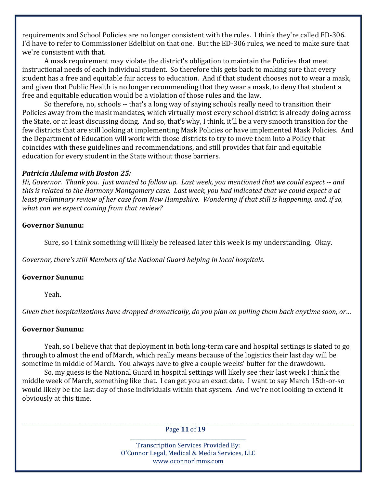requirements and School Policies are no longer consistent with the rules. I think they're called ED-306. I'd have to refer to Commissioner Edelblut on that one. But the ED-306 rules, we need to make sure that we're consistent with that.

 A mask requirement may violate the district's obligation to maintain the Policies that meet instructional needs of each individual student. So therefore this gets back to making sure that every student has a free and equitable fair access to education. And if that student chooses not to wear a mask, and given that Public Health is no longer recommending that they wear a mask, to deny that student a free and equitable education would be a violation of those rules and the law.

 So therefore, no, schools -- that's a long way of saying schools really need to transition their Policies away from the mask mandates, which virtually most every school district is already doing across the State, or at least discussing doing. And so, that's why, I think, it'll be a very smooth transition for the few districts that are still looking at implementing Mask Policies or have implemented Mask Policies. And the Department of Education will work with those districts to try to move them into a Policy that coincides with these guidelines and recommendations, and still provides that fair and equitable education for every student in the State without those barriers.

#### Patricia Alulema with Boston 25:

Hi, Governor. Thank you. Just wanted to follow up. Last week, you mentioned that we could expect -- and this is related to the Harmony Montgomery case. Last week, you had indicated that we could expect a at least preliminary review of her case from New Hampshire. Wondering if that still is happening, and, if so, what can we expect coming from that review?

### Governor Sununu:

Sure, so I think something will likely be released later this week is my understanding. Okay.

Governor, there's still Members of the National Guard helping in local hospitals.

### Governor Sununu:

Yeah.

Given that hospitalizations have dropped dramatically, do you plan on pulling them back anytime soon, or…

### Governor Sununu:

 Yeah, so I believe that that deployment in both long-term care and hospital settings is slated to go through to almost the end of March, which really means because of the logistics their last day will be sometime in middle of March. You always have to give a couple weeks' buffer for the drawdown.

 So, my guess is the National Guard in hospital settings will likely see their last week I think the middle week of March, something like that. I can get you an exact date. I want to say March 15th-or-so would likely be the last day of those individuals within that system. And we're not looking to extend it obviously at this time.

\_\_\_\_\_\_\_\_\_\_\_\_\_\_\_\_\_\_\_\_\_\_\_\_\_\_\_\_\_\_\_\_\_\_\_\_\_\_\_\_\_\_\_\_\_\_\_\_\_\_\_\_\_\_\_\_\_\_\_\_\_\_\_\_\_\_\_\_\_\_\_\_\_\_\_\_\_\_\_\_\_\_\_\_\_\_\_\_\_\_\_\_\_\_\_\_\_\_\_\_\_\_\_\_\_\_\_\_\_\_\_\_\_\_\_\_\_\_\_\_\_\_\_\_\_\_\_\_\_\_\_\_ Page 11 of 19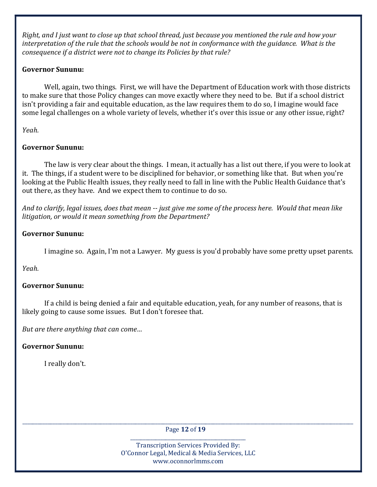Right, and I just want to close up that school thread, just because you mentioned the rule and how your interpretation of the rule that the schools would be not in conformance with the guidance. What is the consequence if a district were not to change its Policies by that rule?

# Governor Sununu:

 Well, again, two things. First, we will have the Department of Education work with those districts to make sure that those Policy changes can move exactly where they need to be. But if a school district isn't providing a fair and equitable education, as the law requires them to do so, I imagine would face some legal challenges on a whole variety of levels, whether it's over this issue or any other issue, right?

Yeah.

# Governor Sununu:

 The law is very clear about the things. I mean, it actually has a list out there, if you were to look at it. The things, if a student were to be disciplined for behavior, or something like that. But when you're looking at the Public Health issues, they really need to fall in line with the Public Health Guidance that's out there, as they have. And we expect them to continue to do so.

And to clarify, legal issues, does that mean -- just give me some of the process here. Would that mean like litigation, or would it mean something from the Department?

# Governor Sununu:

I imagine so. Again, I'm not a Lawyer. My guess is you'd probably have some pretty upset parents.

Yeah.

# Governor Sununu:

 If a child is being denied a fair and equitable education, yeah, for any number of reasons, that is likely going to cause some issues. But I don't foresee that.

But are there anything that can come…

# Governor Sununu:

I really don't.

\_\_\_\_\_\_\_\_\_\_\_\_\_\_\_\_\_\_\_\_\_\_\_\_\_\_\_\_\_\_\_\_\_\_\_\_\_\_\_\_\_\_\_\_\_\_\_\_\_\_\_\_\_\_\_\_\_\_\_\_\_\_\_\_\_\_\_\_\_\_\_\_\_\_\_\_\_\_\_\_\_\_\_\_\_\_\_\_\_\_\_\_\_\_\_\_\_\_\_\_\_\_\_\_\_\_\_\_\_\_\_\_\_\_\_\_\_\_\_\_\_\_\_\_\_\_\_\_\_\_\_\_ Page 12 of 19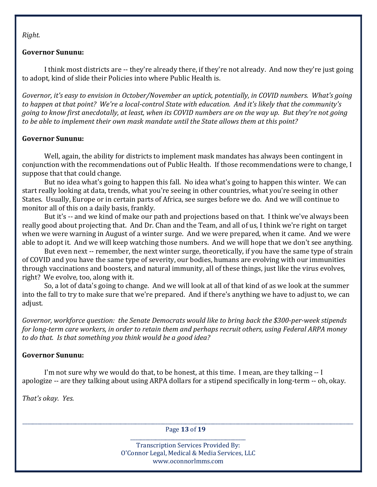Right.

### Governor Sununu:

 I think most districts are -- they're already there, if they're not already. And now they're just going to adopt, kind of slide their Policies into where Public Health is.

Governor, it's easy to envision in October/November an uptick, potentially, in COVID numbers. What's going to happen at that point? We're a local-control State with education. And it's likely that the community's going to know first anecdotally, at least, when its COVID numbers are on the way up. But they're not going to be able to implement their own mask mandate until the State allows them at this point?

# Governor Sununu:

 Well, again, the ability for districts to implement mask mandates has always been contingent in conjunction with the recommendations out of Public Health. If those recommendations were to change, I suppose that that could change.

 But no idea what's going to happen this fall. No idea what's going to happen this winter. We can start really looking at data, trends, what you're seeing in other countries, what you're seeing in other States. Usually, Europe or in certain parts of Africa, see surges before we do. And we will continue to monitor all of this on a daily basis, frankly.

 But it's -- and we kind of make our path and projections based on that. I think we've always been really good about projecting that. And Dr. Chan and the Team, and all of us, I think we're right on target when we were warning in August of a winter surge. And we were prepared, when it came. And we were able to adopt it. And we will keep watching those numbers. And we will hope that we don't see anything.

 But even next -- remember, the next winter surge, theoretically, if you have the same type of strain of COVID and you have the same type of severity, our bodies, humans are evolving with our immunities through vaccinations and boosters, and natural immunity, all of these things, just like the virus evolves, right? We evolve, too, along with it.

 So, a lot of data's going to change. And we will look at all of that kind of as we look at the summer into the fall to try to make sure that we're prepared. And if there's anything we have to adjust to, we can adjust.

Governor, workforce question: the Senate Democrats would like to bring back the \$300-per-week stipends for long-term care workers, in order to retain them and perhaps recruit others, using Federal ARPA money to do that. Is that something you think would be a good idea?

# Governor Sununu:

 I'm not sure why we would do that, to be honest, at this time. I mean, are they talking -- I apologize -- are they talking about using ARPA dollars for a stipend specifically in long-term -- oh, okay.

That's okay. Yes.

\_\_\_\_\_\_\_\_\_\_\_\_\_\_\_\_\_\_\_\_\_\_\_\_\_\_\_\_\_\_\_\_\_\_\_\_\_\_\_\_\_\_\_\_\_\_\_\_\_\_\_\_\_\_\_\_\_\_\_\_\_\_\_\_\_\_\_\_\_\_\_\_\_\_\_\_\_\_\_\_\_\_\_\_\_\_\_\_\_\_\_\_\_\_\_\_\_\_\_\_\_\_\_\_\_\_\_\_\_\_\_\_\_\_\_\_\_\_\_\_\_\_\_\_\_\_\_\_\_\_\_\_ Page 13 of 19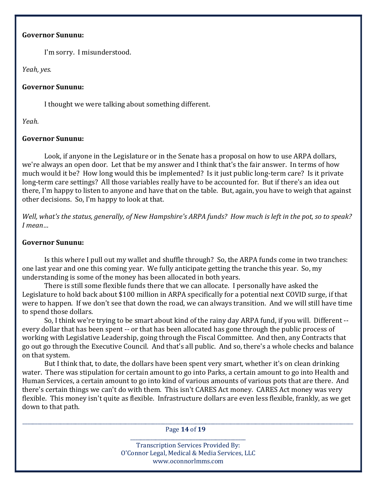#### Governor Sununu:

I'm sorry. I misunderstood.

Yeah, yes.

### Governor Sununu:

I thought we were talking about something different.

Yeah.

# Governor Sununu:

 Look, if anyone in the Legislature or in the Senate has a proposal on how to use ARPA dollars, we're always an open door. Let that be my answer and I think that's the fair answer. In terms of how much would it be? How long would this be implemented? Is it just public long-term care? Is it private long-term care settings? All those variables really have to be accounted for. But if there's an idea out there, I'm happy to listen to anyone and have that on the table. But, again, you have to weigh that against other decisions. So, I'm happy to look at that.

Well, what's the status, generally, of New Hampshire's ARPA funds? How much is left in the pot, so to speak? I mean…

## Governor Sununu:

 Is this where I pull out my wallet and shuffle through? So, the ARPA funds come in two tranches: one last year and one this coming year. We fully anticipate getting the tranche this year. So, my understanding is some of the money has been allocated in both years.

 There is still some flexible funds there that we can allocate. I personally have asked the Legislature to hold back about \$100 million in ARPA specifically for a potential next COVID surge, if that were to happen. If we don't see that down the road, we can always transition. And we will still have time to spend those dollars.

 So, I think we're trying to be smart about kind of the rainy day ARPA fund, if you will. Different - every dollar that has been spent -- or that has been allocated has gone through the public process of working with Legislative Leadership, going through the Fiscal Committee. And then, any Contracts that go out go through the Executive Council. And that's all public. And so, there's a whole checks and balance on that system.

 But I think that, to date, the dollars have been spent very smart, whether it's on clean drinking water. There was stipulation for certain amount to go into Parks, a certain amount to go into Health and Human Services, a certain amount to go into kind of various amounts of various pots that are there. And there's certain things we can't do with them. This isn't CARES Act money. CARES Act money was very flexible. This money isn't quite as flexible. Infrastructure dollars are even less flexible, frankly, as we get down to that path.

\_\_\_\_\_\_\_\_\_\_\_\_\_\_\_\_\_\_\_\_\_\_\_\_\_\_\_\_\_\_\_\_\_\_\_\_\_\_\_\_\_\_\_\_\_\_\_\_\_\_\_\_\_\_\_\_\_\_\_\_\_\_\_\_\_\_\_\_\_\_\_\_\_\_\_\_\_\_\_\_\_\_\_\_\_\_\_\_\_\_\_\_\_\_\_\_\_\_\_\_\_\_\_\_\_\_\_\_\_\_\_\_\_\_\_\_\_\_\_\_\_\_\_\_\_\_\_\_\_\_\_\_ Page 14 of 19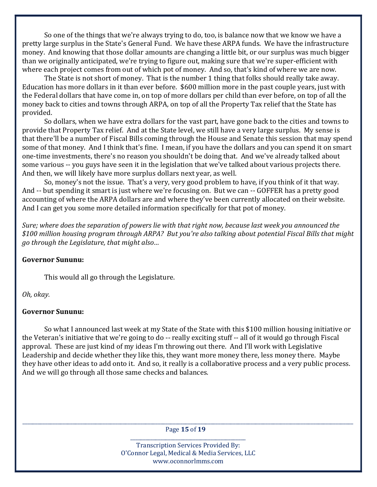So one of the things that we're always trying to do, too, is balance now that we know we have a pretty large surplus in the State's General Fund. We have these ARPA funds. We have the infrastructure money. And knowing that those dollar amounts are changing a little bit, or our surplus was much bigger than we originally anticipated, we're trying to figure out, making sure that we're super-efficient with where each project comes from out of which pot of money. And so, that's kind of where we are now.

 The State is not short of money. That is the number 1 thing that folks should really take away. Education has more dollars in it than ever before. \$600 million more in the past couple years, just with the Federal dollars that have come in, on top of more dollars per child than ever before, on top of all the money back to cities and towns through ARPA, on top of all the Property Tax relief that the State has provided.

 So dollars, when we have extra dollars for the vast part, have gone back to the cities and towns to provide that Property Tax relief. And at the State level, we still have a very large surplus. My sense is that there'll be a number of Fiscal Bills coming through the House and Senate this session that may spend some of that money. And I think that's fine. I mean, if you have the dollars and you can spend it on smart one-time investments, there's no reason you shouldn't be doing that. And we've already talked about some various -- you guys have seen it in the legislation that we've talked about various projects there. And then, we will likely have more surplus dollars next year, as well.

 So, money's not the issue. That's a very, very good problem to have, if you think of it that way. And -- but spending it smart is just where we're focusing on. But we can -- GOFFER has a pretty good accounting of where the ARPA dollars are and where they've been currently allocated on their website. And I can get you some more detailed information specifically for that pot of money.

Sure; where does the separation of powers lie with that right now, because last week you announced the \$100 million housing program through ARPA? But you're also talking about potential Fiscal Bills that might go through the Legislature, that might also…

### Governor Sununu:

This would all go through the Legislature.

Oh, okay.

#### Governor Sununu:

 So what I announced last week at my State of the State with this \$100 million housing initiative or the Veteran's initiative that we're going to do -- really exciting stuff -- all of it would go through Fiscal approval. These are just kind of my ideas I'm throwing out there. And I'll work with Legislative Leadership and decide whether they like this, they want more money there, less money there. Maybe they have other ideas to add onto it. And so, it really is a collaborative process and a very public process. And we will go through all those same checks and balances.

\_\_\_\_\_\_\_\_\_\_\_\_\_\_\_\_\_\_\_\_\_\_\_\_\_\_\_\_\_\_\_\_\_\_\_\_\_\_\_\_\_\_\_\_\_\_\_\_\_\_\_\_\_\_\_\_\_\_\_\_\_\_\_\_\_\_\_\_\_\_\_\_\_\_\_\_\_\_\_\_\_\_\_\_\_\_\_\_\_\_\_\_\_\_\_\_\_\_\_\_\_\_\_\_\_\_\_\_\_\_\_\_\_\_\_\_\_\_\_\_\_\_\_\_\_\_\_\_\_\_\_\_ Page 15 of 19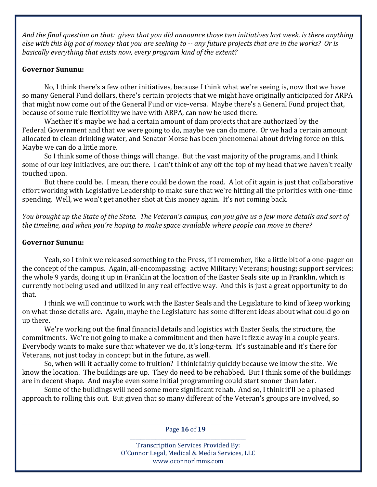And the final question on that: given that you did announce those two initiatives last week, is there anything else with this big pot of money that you are seeking to -- any future projects that are in the works? Or is basically everything that exists now, every program kind of the extent?

## Governor Sununu:

 No, I think there's a few other initiatives, because I think what we're seeing is, now that we have so many General Fund dollars, there's certain projects that we might have originally anticipated for ARPA that might now come out of the General Fund or vice-versa. Maybe there's a General Fund project that, because of some rule flexibility we have with ARPA, can now be used there.

 Whether it's maybe we had a certain amount of dam projects that are authorized by the Federal Government and that we were going to do, maybe we can do more. Or we had a certain amount allocated to clean drinking water, and Senator Morse has been phenomenal about driving force on this. Maybe we can do a little more.

 So I think some of those things will change. But the vast majority of the programs, and I think some of our key initiatives, are out there. I can't think of any off the top of my head that we haven't really touched upon.

 But there could be. I mean, there could be down the road. A lot of it again is just that collaborative effort working with Legislative Leadership to make sure that we're hitting all the priorities with one-time spending. Well, we won't get another shot at this money again. It's not coming back.

You brought up the State of the State. The Veteran's campus, can you give us a few more details and sort of the timeline, and when you're hoping to make space available where people can move in there?

## Governor Sununu:

 Yeah, so I think we released something to the Press, if I remember, like a little bit of a one-pager on the concept of the campus. Again, all-encompassing: active Military; Veterans; housing; support services; the whole 9 yards, doing it up in Franklin at the location of the Easter Seals site up in Franklin, which is currently not being used and utilized in any real effective way. And this is just a great opportunity to do that.

 I think we will continue to work with the Easter Seals and the Legislature to kind of keep working on what those details are. Again, maybe the Legislature has some different ideas about what could go on up there.

 We're working out the final financial details and logistics with Easter Seals, the structure, the commitments. We're not going to make a commitment and then have it fizzle away in a couple years. Everybody wants to make sure that whatever we do, it's long-term. It's sustainable and it's there for Veterans, not just today in concept but in the future, as well.

 So, when will it actually come to fruition? I think fairly quickly because we know the site. We know the location. The buildings are up. They do need to be rehabbed. But I think some of the buildings are in decent shape. And maybe even some initial programming could start sooner than later.

 Some of the buildings will need some more significant rehab. And so, I think it'll be a phased approach to rolling this out. But given that so many different of the Veteran's groups are involved, so

\_\_\_\_\_\_\_\_\_\_\_\_\_\_\_\_\_\_\_\_\_\_\_\_\_\_\_\_\_\_\_\_\_\_\_\_\_\_\_\_\_\_\_\_\_\_\_\_\_\_\_\_\_\_\_\_\_\_\_\_\_\_\_\_\_\_\_\_\_\_\_\_\_\_\_\_\_\_\_\_\_\_\_\_\_\_\_\_\_\_\_\_\_\_\_\_\_\_\_\_\_\_\_\_\_\_\_\_\_\_\_\_\_\_\_\_\_\_\_\_\_\_\_\_\_\_\_\_\_\_\_\_ Page 16 of 19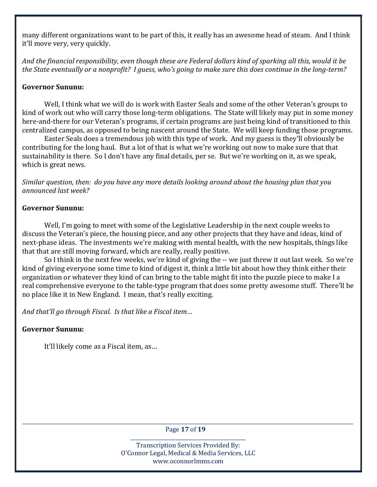many different organizations want to be part of this, it really has an awesome head of steam. And I think it'll move very, very quickly.

And the financial responsibility, even though these are Federal dollars kind of sparking all this, would it be the State eventually or a nonprofit? I guess, who's going to make sure this does continue in the long-term?

## Governor Sununu:

 Well, I think what we will do is work with Easter Seals and some of the other Veteran's groups to kind of work out who will carry those long-term obligations. The State will likely may put in some money here-and-there for our Veteran's programs, if certain programs are just being kind of transitioned to this centralized campus, as opposed to being nascent around the State. We will keep funding those programs.

 Easter Seals does a tremendous job with this type of work. And my guess is they'll obviously be contributing for the long haul. But a lot of that is what we're working out now to make sure that that sustainability is there. So I don't have any final details, per se. But we're working on it, as we speak, which is great news.

Similar question, then: do you have any more details looking around about the housing plan that you announced last week?

### Governor Sununu:

 Well, I'm going to meet with some of the Legislative Leadership in the next couple weeks to discuss the Veteran's piece, the housing piece, and any other projects that they have and ideas, kind of next-phase ideas. The investments we're making with mental health, with the new hospitals, things like that that are still moving forward, which are really, really positive.

 So I think in the next few weeks, we're kind of giving the -- we just threw it out last week. So we're kind of giving everyone some time to kind of digest it, think a little bit about how they think either their organization or whatever they kind of can bring to the table might fit into the puzzle piece to make I a real comprehensive everyone to the table-type program that does some pretty awesome stuff. There'll be no place like it in New England. I mean, that's really exciting.

And that'll go through Fiscal. Is that like a Fiscal item…

# Governor Sununu:

It'll likely come as a Fiscal item, as…

\_\_\_\_\_\_\_\_\_\_\_\_\_\_\_\_\_\_\_\_\_\_\_\_\_\_\_\_\_\_\_\_\_\_\_\_\_\_\_\_\_\_\_\_\_\_\_\_\_\_\_\_\_\_\_\_\_\_\_\_\_\_\_\_\_\_\_\_\_\_\_\_\_\_\_\_\_\_\_\_\_\_\_\_\_\_\_\_\_\_\_\_\_\_\_\_\_\_\_\_\_\_\_\_\_\_\_\_\_\_\_\_\_\_\_\_\_\_\_\_\_\_\_\_\_\_\_\_\_\_\_\_ Page 17 of 19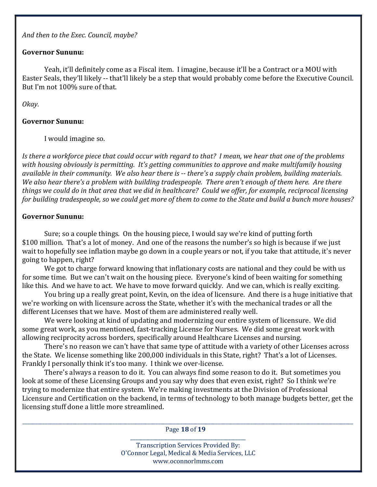And then to the Exec. Council, maybe?

### Governor Sununu:

 Yeah, it'll definitely come as a Fiscal item. I imagine, because it'll be a Contract or a MOU with Easter Seals, they'll likely -- that'll likely be a step that would probably come before the Executive Council. But I'm not 100% sure of that.

### Okay.

# Governor Sununu:

I would imagine so.

Is there a workforce piece that could occur with regard to that? I mean, we hear that one of the problems with housing obviously is permitting. It's getting communities to approve and make multifamily housing available in their community. We also hear there is -- there's a supply chain problem, building materials. We also hear there's a problem with building tradespeople. There aren't enough of them here. Are there things we could do in that area that we did in healthcare? Could we offer, for example, reciprocal licensing for building tradespeople, so we could get more of them to come to the State and build a bunch more houses?

# Governor Sununu:

 Sure; so a couple things. On the housing piece, I would say we're kind of putting forth \$100 million. That's a lot of money. And one of the reasons the number's so high is because if we just wait to hopefully see inflation maybe go down in a couple years or not, if you take that attitude, it's never going to happen, right?

 We got to charge forward knowing that inflationary costs are national and they could be with us for some time. But we can't wait on the housing piece. Everyone's kind of been waiting for something like this. And we have to act. We have to move forward quickly. And we can, which is really exciting.

 You bring up a really great point, Kevin, on the idea of licensure. And there is a huge initiative that we're working on with licensure across the State, whether it's with the mechanical trades or all the different Licenses that we have. Most of them are administered really well.

 We were looking at kind of updating and modernizing our entire system of licensure. We did some great work, as you mentioned, fast-tracking License for Nurses. We did some great work with allowing reciprocity across borders, specifically around Healthcare Licenses and nursing.

 There's no reason we can't have that same type of attitude with a variety of other Licenses across the State. We license something like 200,000 individuals in this State, right? That's a lot of Licenses. Frankly I personally think it's too many. I think we over-license.

 There's always a reason to do it. You can always find some reason to do it. But sometimes you look at some of these Licensing Groups and you say why does that even exist, right? So I think we're trying to modernize that entire system. We're making investments at the Division of Professional Licensure and Certification on the backend, in terms of technology to both manage budgets better, get the licensing stuff done a little more streamlined.

\_\_\_\_\_\_\_\_\_\_\_\_\_\_\_\_\_\_\_\_\_\_\_\_\_\_\_\_\_\_\_\_\_\_\_\_\_\_\_\_\_\_\_\_\_\_\_\_\_\_\_\_\_\_\_\_\_\_\_\_\_\_\_\_\_\_\_\_\_\_\_\_\_\_\_\_\_\_\_\_\_\_\_\_\_\_\_\_\_\_\_\_\_\_\_\_\_\_\_\_\_\_\_\_\_\_\_\_\_\_\_\_\_\_\_\_\_\_\_\_\_\_\_\_\_\_\_\_\_\_\_\_ Page 18 of 19